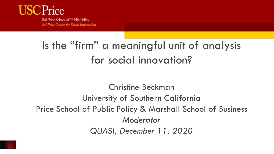#### rice

Sol Price School of Public Policy Sol Price Center for Social Innovation

### Is the "firm" a meaningful unit of analysis for social innovation?

Christine Beckman University of Southern California Price School of Public Policy & Marshall School of Business *Moderator QUASI, December 11, 2020*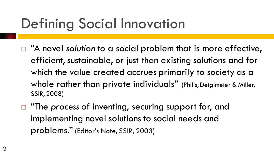# Defining Social Innovation

- □ "A novel *solution* to a social problem that is more effective, efficient, sustainable, or just than existing solutions and for which the value created accrues primarily to society as a whole rather than private individuals" (Phills, Deiglmeier & Miller, SSIR, 2008)
- □ "The *process* of inventing, securing support for, and implementing novel solutions to social needs and problems." (Editor's Note, SSIR, 2003)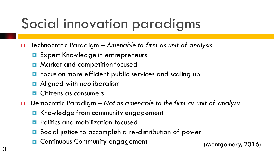# Social innovation paradigms

- Technocratic Paradigm *Amenable to firm as unit of analysis*
	- **EXPERENGE IS EXPERENT KNOWLED ENDER** ENTERTANCE
	- Market and competition focused
	- **O** Focus on more efficient public services and scaling up
	- **<u>E</u>** Aligned with neoliberalism
	- Citizens as consumers
- Democratic Paradigm *Not as amenable to the firm as unit of analysis*
	- **E** Knowledge from community engagement
	- Politics and mobilization focused
	- Social justice to accomplish a re-distribution of power
	- **D** Continuous Community engagement (Montgomery, 2016)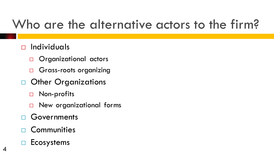## Who are the alternative actors to the firm?

#### $\Box$  Individuals

- □ Organizational actors
- □ Grass-roots organizing
- Other Organizations
	- □ Non-profits
	- New organizational forms
- Governments
- **Communities**
- $\Box$  Ecosystems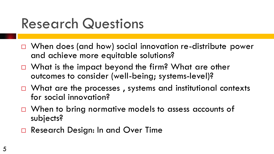# Research Questions

- □ When does (and how) social innovation re-distribute power and achieve more equitable solutions?
- $\Box$  What is the impact beyond the firm? What are other outcomes to consider (well-being; systems-level)?
- $\Box$  What are the processes, systems and institutional contexts for social innovation?
- □ When to bring normative models to assess accounts of subjects?
- Research Design: In and Over Time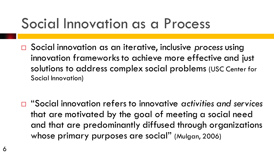## Social Innovation as a Process

 Social innovation as an iterative, inclusive *process* using innovation frameworks to achieve more effective and just solutions to address complex social problems (USC Center for Social Innovation)

 "Social innovation refers to innovative *activities and services*  that are motivated by the goal of meeting a social need and that are predominantly diffused through organizations whose primary purposes are social" (Mulgan, 2006)